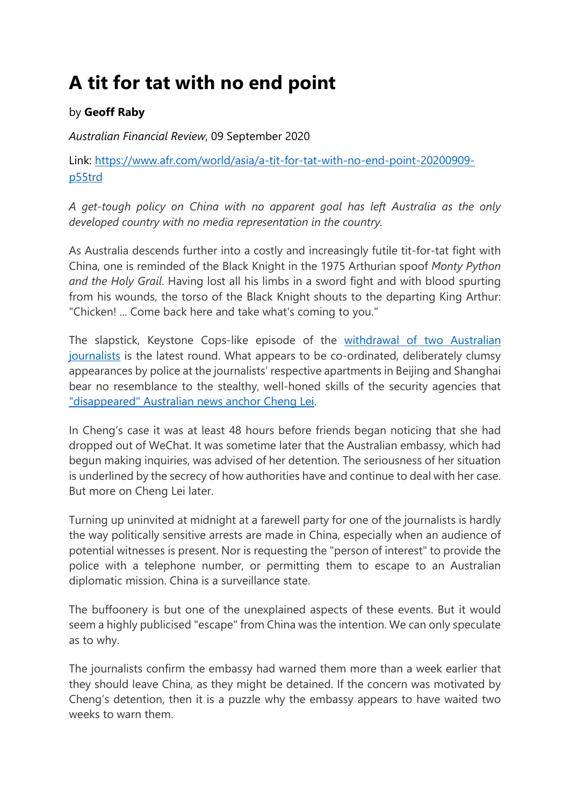## **A tit for tat with no end point**

## by **Geoff Raby**

*Australian Financial Review*, 09 September 2020

Link: [https://www.afr.com/world/asia/a-tit-for-tat-with-no-end-point-20200909](https://www.afr.com/world/asia/a-tit-for-tat-with-no-end-point-20200909-p55trd) [p55trd](https://www.afr.com/world/asia/a-tit-for-tat-with-no-end-point-20200909-p55trd)

*A get-tough policy on China with no apparent goal has left Australia as the only developed country with no media representation in the country.*

As Australia descends further into a costly and increasingly futile tit-for-tat fight with China, one is reminded of the Black Knight in the 1975 Arthurian spoof *Monty Python and the Holy Grail*. Having lost all his limbs in a sword fight and with blood spurting from his wounds, the torso of the Black Knight shouts to the departing King Arthur: "Chicken! ... Come back here and take what's coming to you."

The slapstick, Keystone Cops-like episode of the [withdrawal of two Australian](https://www.afr.com/politics/federal/financial-review-abc-journalists-forced-out-of-china-20200908-p55tf3)  [journalists](https://www.afr.com/politics/federal/financial-review-abc-journalists-forced-out-of-china-20200908-p55tf3) is the latest round. What appears to be co-ordinated, deliberately clumsy appearances by police at the journalists' respective apartments in Beijing and Shanghai bear no resemblance to the stealthy, well-honed skills of the security agencies that ["disappeared" Australian news anchor Cheng Lei.](https://www.afr.com/politics/federal/diplomatic-turmoil-as-china-detains-australian-tv-journalist-20200831-p55r3m)

In Cheng's case it was at least 48 hours before friends began noticing that she had dropped out of WeChat. It was sometime later that the Australian embassy, which had begun making inquiries, was advised of her detention. The seriousness of her situation is underlined by the secrecy of how authorities have and continue to deal with her case. But more on Cheng Lei later.

Turning up uninvited at midnight at a farewell party for one of the journalists is hardly the way politically sensitive arrests are made in China, especially when an audience of potential witnesses is present. Nor is requesting the "person of interest" to provide the police with a telephone number, or permitting them to escape to an Australian diplomatic mission. China is a surveillance state.

The buffoonery is but one of the unexplained aspects of these events. But it would seem a highly publicised "escape" from China was the intention. We can only speculate as to why.

The journalists confirm the embassy had warned them more than a week earlier that they should leave China, as they might be detained. If the concern was motivated by Cheng's detention, then it is a puzzle why the embassy appears to have waited two weeks to warn them.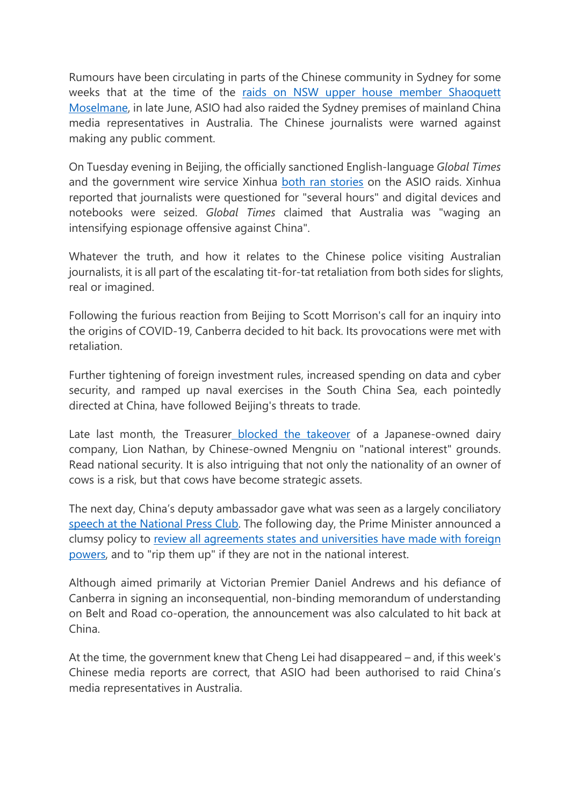Rumours have been circulating in parts of the Chinese community in Sydney for some weeks that at the time of the [raids on NSW upper house member Shaoquett](https://www.afr.com/politics/federal/labor-mp-suspended-over-asio-china-raids-20200626-p556gk)  [Moselmane,](https://www.afr.com/politics/federal/labor-mp-suspended-over-asio-china-raids-20200626-p556gk) in late June, ASIO had also raided the Sydney premises of mainland China media representatives in Australia. The Chinese journalists were warned against making any public comment.

On Tuesday evening in Beijing, the officially sanctioned English-language *Global Times* and the government wire service Xinhua [both ran stories](https://www.afr.com/politics/federal/chinese-state-media-labels-australians-hypocrites-on-press-freedom-20200909-p55tqn) on the ASIO raids. Xinhua reported that journalists were questioned for "several hours" and digital devices and notebooks were seized. *Global Times* claimed that Australia was "waging an intensifying espionage offensive against China".

Whatever the truth, and how it relates to the Chinese police visiting Australian journalists, it is all part of the escalating tit-for-tat retaliation from both sides for slights, real or imagined.

Following the furious reaction from Beijing to Scott Morrison's call for an inquiry into the origins of COVID-19, Canberra decided to hit back. Its provocations were met with retaliation.

Further tightening of foreign investment rules, increased spending on data and cyber security, and ramped up naval exercises in the South China Sea, each pointedly directed at China, have followed Beijing's threats to trade.

Late last month, the Treasurer [blocked the takeover](https://www.afr.com/policy/economy/frydenberg-snubs-china-mengnui-s-600m-dairy-deal-for-lion-20200819-p55n59) of a Japanese-owned dairy company, Lion Nathan, by Chinese-owned Mengniu on "national interest" grounds. Read national security. It is also intriguing that not only the nationality of an owner of cows is a risk, but that cows have become strategic assets.

The next day, China's deputy ambassador gave what was seen as a largely conciliatory [speech at the National Press Club.](https://www.afr.com/politics/federal/ill-founded-accusations-risk-harming-chinese-investment-envoy-20200826-p55pfc) The following day, the Prime Minister announced a clumsy policy to [review all agreements states and universities have made with foreign](https://www.afr.com/politics/federal/pm-seeks-veto-powers-over-china-deals-20200826-p55pfe)  [powers,](https://www.afr.com/politics/federal/pm-seeks-veto-powers-over-china-deals-20200826-p55pfe) and to "rip them up" if they are not in the national interest.

Although aimed primarily at Victorian Premier Daniel Andrews and his defiance of Canberra in signing an inconsequential, non-binding memorandum of understanding on Belt and Road co-operation, the announcement was also calculated to hit back at China.

At the time, the government knew that Cheng Lei had disappeared – and, if this week's Chinese media reports are correct, that ASIO had been authorised to raid China's media representatives in Australia.